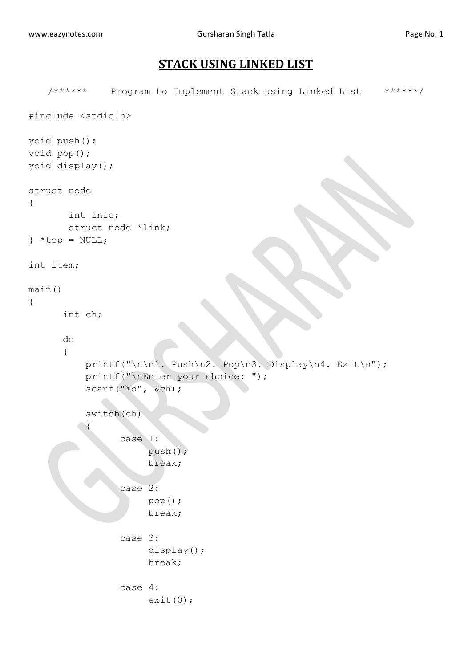## **STACK USING LINKED LIST**

```
/****** Program to Implement Stack using Linked List ******/
#include <stdio.h>
void push();
void pop();
void display();
struct node
{
        int info;
        struct node *link;
} *top = NULL;
int item;
main()
{
       int ch;
       do
       {
           printf("\n\n1. Push\n2. Pop\n3. Display\n4. Exit\n");
           printf("\nEnter your choice: ");
           scanf("%d", &ch);
           switch(ch)
 {
                  case 1:
                       push();
                      break;
                  case 2:
                       pop();
                      break;
                  case 3:
                       display();
                      break;
                  case 4:
                       exit(0);
```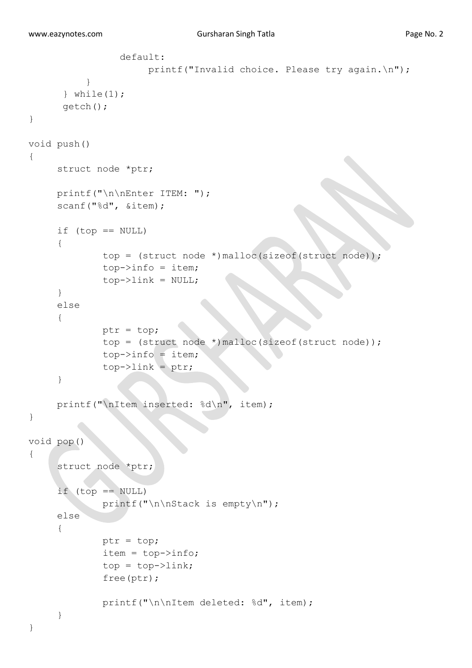```
 default:
                      printf("Invalid choice. Please try again.\n");
 }
      } while(1);
       getch();
}
void push()
{
      struct node *ptr;
      printf("\n\nEnter ITEM: ");
     scanf("%d", &item);
     if (top == NULL)
      {
              top = (struct node *)malloc(sizeof(struct node));
             top->info = item;top->link = NULL; }
      else
      {
              ptr = top;
              top = (struct node *)malloc(sizeof(struct node));
             top->info = item; top->link = ptr;
      }
      printf("\nItem inserted: %d\n", item);
}
void pop()
{
      struct node *ptr;
     if (top == NULL) printf("\n\nStack is empty\n");
      else 
      {
              ptr = top;
             item = top->info;top = top->link; free(ptr);
              printf("\n\nItem deleted: %d", item);
      }
}
```